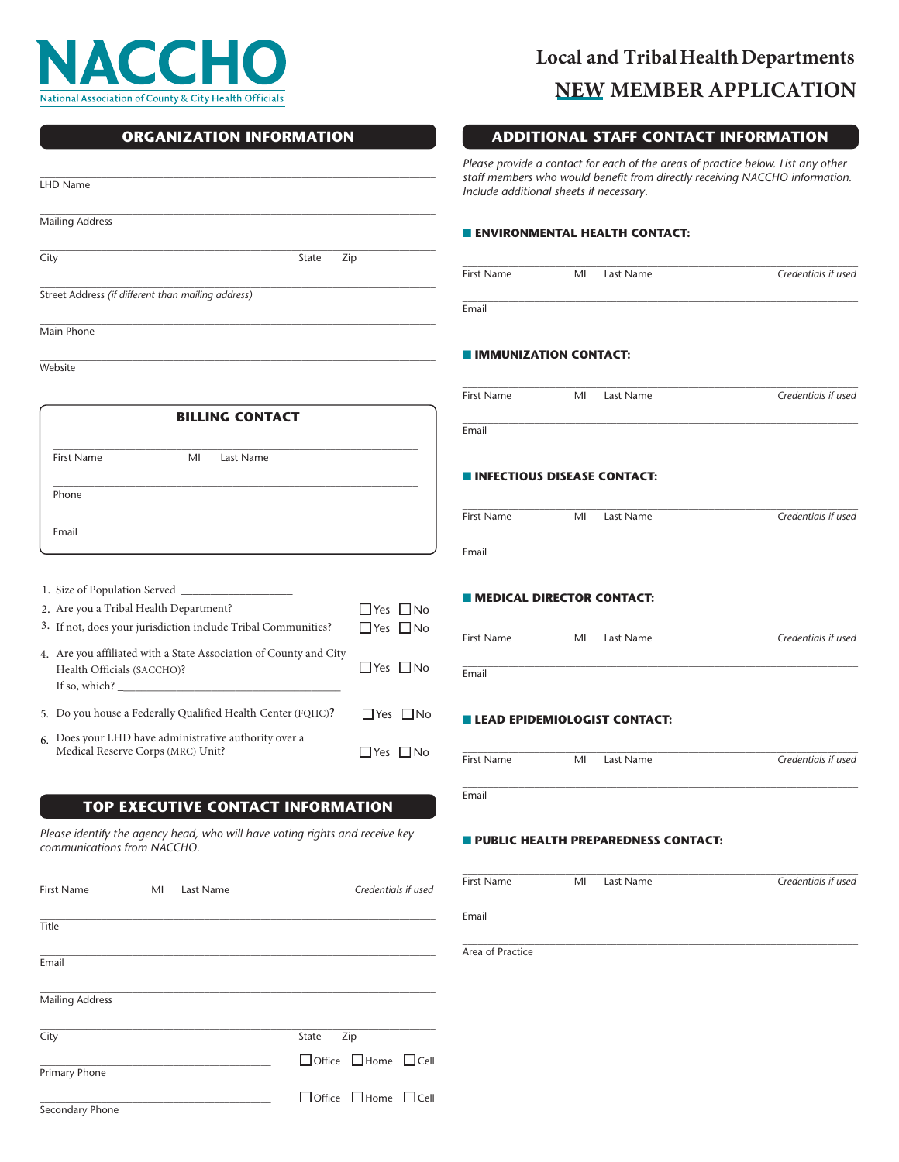

# **Local and Tribal Health Departments NEW MEMBER APPLICATION**

**ADDITIONAL STAFF CONTACT INFORMATION** 

|                                                                              |                      | Please provide a contact for each of the areas of practice below. List any other<br>staff members who would benefit from directly receiving NACCHO information.<br>Include additional sheets if necessary. |    |                                            |                     |
|------------------------------------------------------------------------------|----------------------|------------------------------------------------------------------------------------------------------------------------------------------------------------------------------------------------------------|----|--------------------------------------------|---------------------|
| LHD Name                                                                     |                      |                                                                                                                                                                                                            |    |                                            |                     |
| <b>Mailing Address</b>                                                       |                      |                                                                                                                                                                                                            |    | <b>ENVIRONMENTAL HEALTH CONTACT:</b>       |                     |
| City<br>State                                                                | Zip                  |                                                                                                                                                                                                            |    |                                            |                     |
| Street Address (if different than mailing address)                           |                      | First Name                                                                                                                                                                                                 | MI | Last Name                                  | Credentials if used |
|                                                                              |                      | Email                                                                                                                                                                                                      |    |                                            |                     |
| Main Phone                                                                   |                      |                                                                                                                                                                                                            |    |                                            |                     |
| Website                                                                      |                      | <b>IMMUNIZATION CONTACT:</b>                                                                                                                                                                               |    |                                            |                     |
|                                                                              |                      |                                                                                                                                                                                                            |    |                                            |                     |
| <b>BILLING CONTACT</b>                                                       |                      | First Name                                                                                                                                                                                                 | MI | Last Name                                  | Credentials if used |
|                                                                              |                      | Email                                                                                                                                                                                                      |    |                                            |                     |
| <b>First Name</b><br>MI<br>Last Name                                         |                      |                                                                                                                                                                                                            |    |                                            |                     |
| Phone                                                                        |                      | <b>INFECTIOUS DISEASE CONTACT:</b>                                                                                                                                                                         |    |                                            |                     |
|                                                                              |                      | First Name                                                                                                                                                                                                 | MI | Last Name                                  | Credentials if used |
| Email                                                                        |                      |                                                                                                                                                                                                            |    |                                            |                     |
|                                                                              |                      | Email                                                                                                                                                                                                      |    |                                            |                     |
|                                                                              |                      |                                                                                                                                                                                                            |    |                                            |                     |
| 2. Are you a Tribal Health Department?                                       | $\Box$ Yes $\Box$ No | <b>MEDICAL DIRECTOR CONTACT:</b>                                                                                                                                                                           |    |                                            |                     |
| 3. If not, does your jurisdiction include Tribal Communities?                | $\Box$ Yes $\Box$ No | First Name                                                                                                                                                                                                 | MI | Last Name                                  | Credentials if used |
| 4. Are you affiliated with a State Association of County and City            |                      |                                                                                                                                                                                                            |    |                                            |                     |
| Health Officials (SACCHO)?<br>If so, which? $\overline{\phantom{a}}$         | $\Box$ Yes $\Box$ No | Email                                                                                                                                                                                                      |    |                                            |                     |
| 5. Do you house a Federally Qualified Health Center (FQHC)?                  | $\Box$ Yes $\Box$ No |                                                                                                                                                                                                            |    |                                            |                     |
| 6. Does your LHD have administrative authority over a                        |                      | <b>LEAD EPIDEMIOLOGIST CONTACT:</b>                                                                                                                                                                        |    |                                            |                     |
| Medical Reserve Corps (MRC) Unit?                                            | $\Box$ Yes $\Box$ No | First Name                                                                                                                                                                                                 | MI | Last Name                                  | Credentials if used |
|                                                                              |                      |                                                                                                                                                                                                            |    |                                            |                     |
| <b>TOP EXECUTIVE CONTACT INFORMATION</b>                                     |                      | Email                                                                                                                                                                                                      |    |                                            |                     |
| Please identify the agency head, who will have voting rights and receive key |                      |                                                                                                                                                                                                            |    | <b>PUBLIC HEALTH PREPAREDNESS CONTACT:</b> |                     |
| communications from NACCHO.                                                  |                      |                                                                                                                                                                                                            |    |                                            |                     |
| First Name<br>MI<br>Last Name                                                | Credentials if used  | First Name                                                                                                                                                                                                 | MI | Last Name                                  | Credentials if used |
|                                                                              |                      |                                                                                                                                                                                                            |    |                                            |                     |
| Title                                                                        |                      | Email                                                                                                                                                                                                      |    |                                            |                     |
| Email                                                                        |                      | Area of Practice                                                                                                                                                                                           |    |                                            |                     |
|                                                                              |                      |                                                                                                                                                                                                            |    |                                            |                     |
| <b>Mailing Address</b>                                                       |                      |                                                                                                                                                                                                            |    |                                            |                     |
| City<br>State                                                                | Zip                  |                                                                                                                                                                                                            |    |                                            |                     |

 $\Box$  Office  $\Box$  Home  $\Box$  Cell Primary Phone

 $\Box$  Office  $\Box$  Home  $\Box$  Cell

Secondary Phone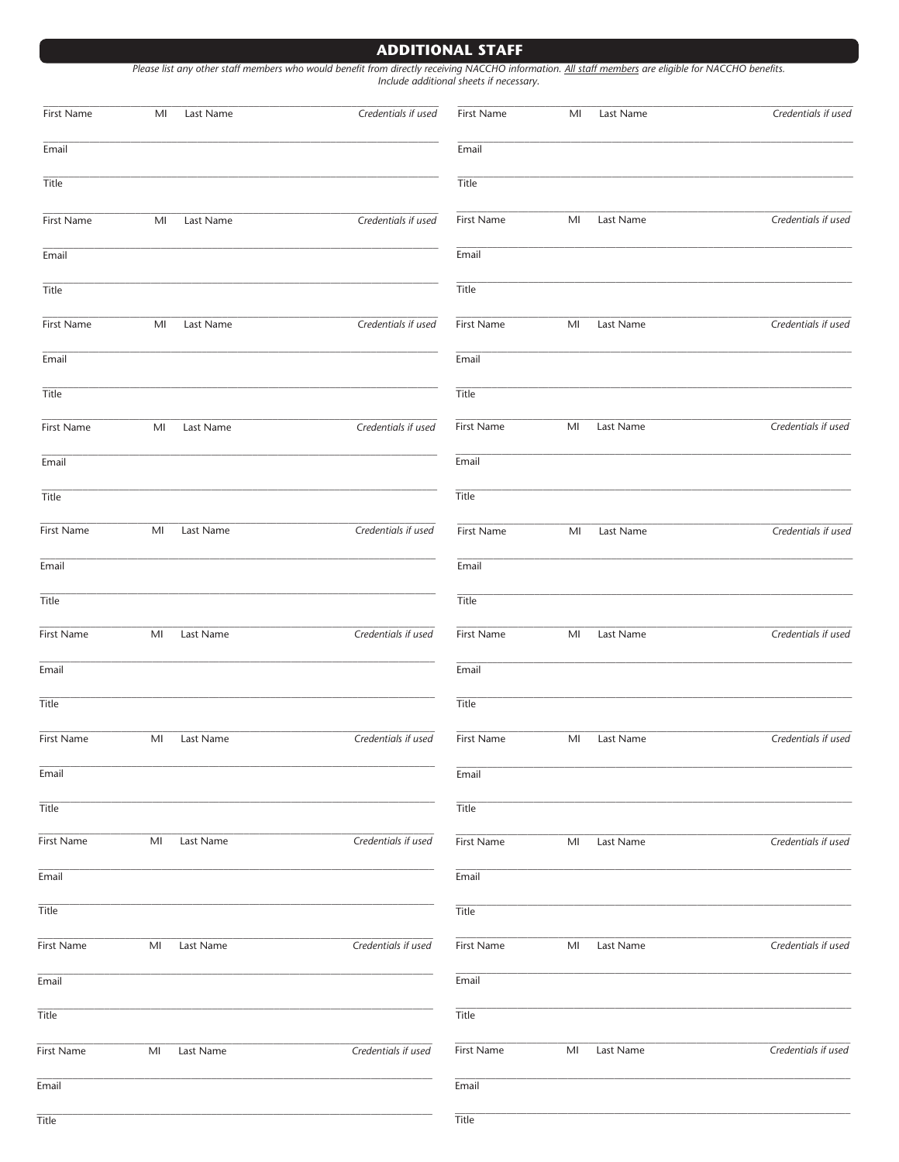### **ADDITIONAL STAFF**

| First Name   | MI             | Last Name | Credentials if used | First Name | M <sub>l</sub> | Last Name | Credentials if used |
|--------------|----------------|-----------|---------------------|------------|----------------|-----------|---------------------|
| Email        |                |           |                     | Email      |                |           |                     |
| Title        |                |           |                     | Title      |                |           |                     |
| First Name   | MI             | Last Name | Credentials if used | First Name | MI             | Last Name | Credentials if used |
| Email        |                |           |                     | Email      |                |           |                     |
| Title        |                |           |                     | Title      |                |           |                     |
|              |                |           |                     |            |                |           |                     |
| First Name   | M <sub>l</sub> | Last Name | Credentials if used | First Name | M <sub>l</sub> | Last Name | Credentials if used |
| Email        |                |           |                     | Email      |                |           |                     |
| Title        |                |           |                     | Title      |                |           |                     |
| First Name   | MI             | Last Name | Credentials if used | First Name | MI             | Last Name | Credentials if used |
| Email        |                |           |                     | Email      |                |           |                     |
| Title        |                |           |                     | Title      |                |           |                     |
| First Name   | MI             | Last Name | Credentials if used | First Name | MI             | Last Name | Credentials if used |
| Email        |                |           |                     | Email      |                |           |                     |
| Title        |                |           |                     | Title      |                |           |                     |
| First Name   | MI             | Last Name | Credentials if used | First Name | MI             | Last Name | Credentials if used |
| Email        |                |           |                     | Email      |                |           |                     |
| Title        |                |           |                     | Title      |                |           |                     |
| First Name   | MI             | Last Name | Credentials if used | First Name | MI             | Last Name | Credentials if used |
| Email        |                |           |                     | Email      |                |           |                     |
| Title        |                |           |                     | Title      |                |           |                     |
| First Name   | MI             | Last Name | Credentials if used | First Name | MI             | Last Name | Credentials if used |
| Email        |                |           |                     | Email      |                |           |                     |
| <b>Title</b> |                |           |                     | Title      |                |           |                     |
| First Name   | MI             | Last Name | Credentials if used | First Name | MI             | Last Name | Credentials if used |
| Email        |                |           |                     | Email      |                |           |                     |
| Title        |                |           |                     | Title      |                |           |                     |
| First Name   | MI             | Last Name | Credentials if used | First Name | MI             | Last Name | Credentials if used |
| Email        |                |           |                     | Email      |                |           |                     |

Title

Title